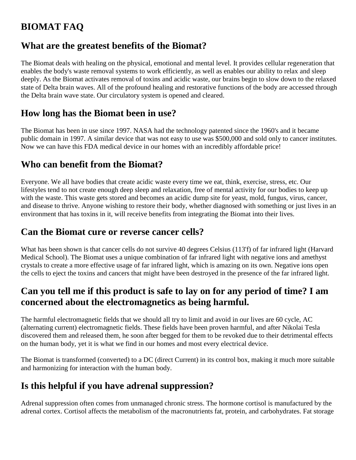# **BIOMAT FAQ**

### **What are the greatest benefits of the Biomat?**

The Biomat deals with healing on the physical, emotional and mental level. It provides cellular regeneration that enables the body's waste removal systems to work efficiently, as well as enables our ability to relax and sleep deeply. As the Biomat activates removal of toxins and acidic waste, our brains begin to slow down to the relaxed state of Delta brain waves. All of the profound healing and restorative functions of the body are accessed through the Delta brain wave state. Our circulatory system is opened and cleared.

### **How long has the Biomat been in use?**

The Biomat has been in use since 1997. NASA had the technology patented since the 1960's and it became public domain in 1997. A similar device that was not easy to use was \$500,000 and sold only to cancer institutes. Now we can have this FDA medical device in our homes with an incredibly affordable price!

# **Who can benefit from the Biomat?**

Everyone. We all have bodies that create acidic waste every time we eat, think, exercise, stress, etc. Our lifestyles tend to not create enough deep sleep and relaxation, free of mental activity for our bodies to keep up with the waste. This waste gets stored and becomes an acidic dump site for yeast, mold, fungus, virus, cancer, and disease to thrive. Anyone wishing to restore their body, whether diagnosed with something or just lives in an environment that has toxins in it, will receive benefits from integrating the Biomat into their lives.

### **Can the Biomat cure or reverse cancer cells?**

What has been shown is that cancer cells do not survive 40 degrees Celsius (113'f) of far infrared light (Harvard Medical School). The Biomat uses a unique combination of far infrared light with negative ions and amethyst crystals to create a more effective usage of far infrared light, which is amazing on its own. Negative ions open the cells to eject the toxins and cancers that might have been destroyed in the presence of the far infrared light.

### **Can you tell me if this product is safe to lay on for any period of time? I am concerned about the electromagnetics as being harmful.**

The harmful electromagnetic fields that we should all try to limit and avoid in our lives are 60 cycle, AC (alternating current) electromagnetic fields. These fields have been proven harmful, and after Nikolai Tesla discovered them and released them, he soon after begged for them to be revoked due to their detrimental effects on the human body, yet it is what we find in our homes and most every electrical device.

The Biomat is transformed (converted) to a DC (direct Current) in its control box, making it much more suitable and harmonizing for interaction with the human body.

# **Is this helpful if you have adrenal suppression?**

Adrenal suppression often comes from unmanaged chronic stress. The hormone cortisol is manufactured by the adrenal cortex. Cortisol affects the metabolism of the macronutrients fat, protein, and carbohydrates. Fat storage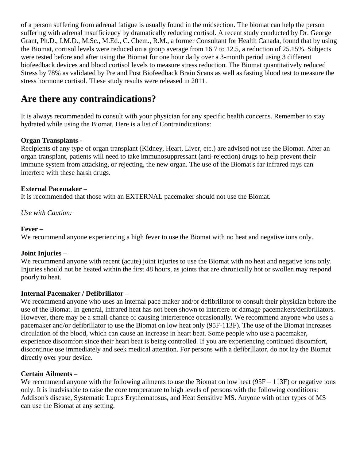of a person suffering from adrenal fatigue is usually found in the midsection. The biomat can help the person suffering with adrenal insufficiency by dramatically reducing cortisol. A recent study conducted by Dr. George Grant, Ph.D., I.M.D., M.Sc., M.Ed., C. Chem., R.M., a former Consultant for Health Canada, found that by using the Biomat, cortisol levels were reduced on a group average from 16.7 to 12.5, a reduction of 25.15%. Subjects were tested before and after using the Biomat for one hour daily over a 3-month period using 3 different biofeedback devices and blood cortisol levels to measure stress reduction. The Biomat quantitatively reduced Stress by 78% as validated by Pre and Post Biofeedback Brain Scans as well as fasting blood test to measure the stress hormone cortisol. These study results were released in 2011.

### **Are there any contraindications?**

It is always recommended to consult with your physician for any specific health concerns. Remember to stay hydrated while using the Biomat. Here is a list of Contraindications:

### **Organ Transplants -**

Recipients of any type of organ transplant (Kidney, Heart, Liver, etc.) are advised not use the Biomat. After an organ transplant, patients will need to take immunosuppressant (anti-rejection) drugs to help prevent their immune system from attacking, or rejecting, the new organ. The use of the Biomat's far infrared rays can interfere with these harsh drugs.

#### **External Pacemaker –**

It is recommended that those with an EXTERNAL pacemaker should not use the Biomat.

*Use with Caution:*

#### **Fever –**

We recommend anyone experiencing a high fever to use the Biomat with no heat and negative ions only.

#### **Joint Injuries –**

We recommend anyone with recent (acute) joint injuries to use the Biomat with no heat and negative ions only. Injuries should not be heated within the first 48 hours, as joints that are chronically hot or swollen may respond poorly to heat.

### **Internal Pacemaker / Defibrillator –**

We recommend anyone who uses an internal pace maker and/or defibrillator to consult their physician before the use of the Biomat. In general, infrared heat has not been shown to interfere or damage pacemakers/defibrillators. However, there may be a small chance of causing interference occasionally. We recommend anyone who uses a pacemaker and/or defibrillator to use the Biomat on low heat only (95F-113F). The use of the Biomat increases circulation of the blood, which can cause an increase in heart beat. Some people who use a pacemaker, experience discomfort since their heart beat is being controlled. If you are experiencing continued discomfort, discontinue use immediately and seek medical attention. For persons with a defibrillator, do not lay the Biomat directly over your device.

#### **Certain Ailments –**

We recommend anyone with the following ailments to use the Biomat on low heat  $(95F - 113F)$  or negative ions only. It is inadvisable to raise the core temperature to high levels of persons with the following conditions: Addison's disease, Systematic Lupus Erythematosus, and Heat Sensitive MS. Anyone with other types of MS can use the Biomat at any setting.